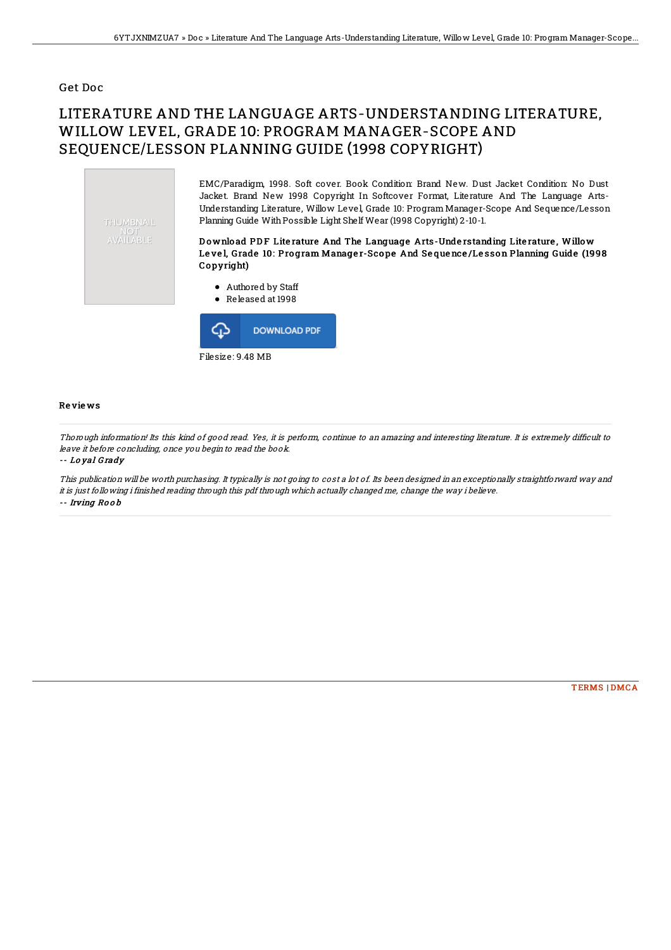### Get Doc

# LITERATURE AND THE LANGUAGE ARTS-UNDERSTANDING LITERATURE, WILLOW LEVEL, GRADE 10: PROGRAM MANAGER-SCOPE AND SEQUENCE/LESSON PLANNING GUIDE (1998 COPYRIGHT)



EMC/Paradigm, 1998. Soft cover. Book Condition: Brand New. Dust Jacket Condition: No Dust Jacket. Brand New 1998 Copyright In Softcover Format, Literature And The Language Arts-Understanding Literature, Willow Level, Grade 10: Program Manager-Scope And Sequence/Lesson Planning Guide WithPossible Light Shelf Wear (1998 Copyright) 2-10-1.

### Download PDF Lite rature And The Language Arts-Understanding Lite rature, Willow Level, Grade 10: Program Manager-Scope And Sequence/Lesson Planning Guide (1998 Co pyright)

Authored by Staff

Released at 1998



#### Re vie ws

Thorough information! Its this kind of good read. Yes, it is perform, continue to an amazing and interesting literature. It is extremely difficult to leave it before concluding, once you begin to read the book.

#### -- Lo yal G rady

This publication will be worth purchasing. It typically is not going to cost <sup>a</sup> lot of. Its been designed in an exceptionally straightforward way and it is just following i finished reading through this pdf through which actually changed me, change the way i believe. -- Irving Ro <sup>o</sup> b